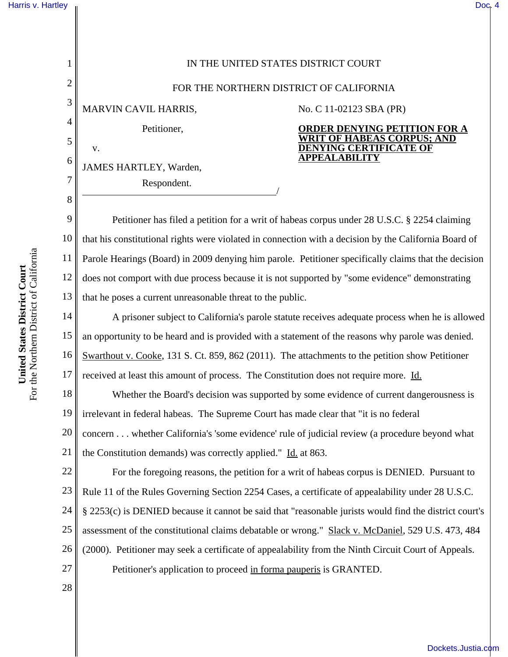## [Harris v. Hartley](http://dockets.justia.com/docket/california/candce/4:2011cv02123/240131/) **II** [Doc. 4](http://docs.justia.com/cases/federal/district-courts/california/candce/4:2011cv02123/240131/4/)

| 1              | IN THE UNITED STATES DISTRICT COURT                                                                    |
|----------------|--------------------------------------------------------------------------------------------------------|
| $\overline{2}$ | FOR THE NORTHERN DISTRICT OF CALIFORNIA                                                                |
| 3              | MARVIN CAVIL HARRIS,<br>No. C 11-02123 SBA (PR)                                                        |
| 4              | Petitioner,<br><b>ORDER DENYING PETITION FOR A</b>                                                     |
| 5              | <b>WRIT OF HABEAS CORPUS; AND</b><br><b>DENYING CERTIFICATE OF</b><br>V.                               |
| 6              | <b>APPEALABILITY</b><br>JAMES HARTLEY, Warden,                                                         |
| $\overline{7}$ | Respondent.                                                                                            |
| 8              |                                                                                                        |
| 9              | Petitioner has filed a petition for a writ of habeas corpus under 28 U.S.C. § 2254 claiming            |
| 10             | that his constitutional rights were violated in connection with a decision by the California Board of  |
| 11             | Parole Hearings (Board) in 2009 denying him parole. Petitioner specifically claims that the decision   |
| 12             | does not comport with due process because it is not supported by "some evidence" demonstrating         |
| 13             | that he poses a current unreasonable threat to the public.                                             |
| 14             | A prisoner subject to California's parole statute receives adequate process when he is allowed         |
| 15             | an opportunity to be heard and is provided with a statement of the reasons why parole was denied.      |
| 16             | Swarthout v. Cooke, 131 S. Ct. 859, 862 (2011). The attachments to the petition show Petitioner        |
| 17             | received at least this amount of process. The Constitution does not require more. Id.                  |
| 18             | Whether the Board's decision was supported by some evidence of current dangerousness is                |
| 19             | irrelevant in federal habeas. The Supreme Court has made clear that "it is no federal                  |
| 20             | concern whether California's 'some evidence' rule of judicial review (a procedure beyond what          |
| 21             | the Constitution demands) was correctly applied." Id. at 863.                                          |
| 22             | For the foregoing reasons, the petition for a writ of habeas corpus is DENIED. Pursuant to             |
| 23             | Rule 11 of the Rules Governing Section 2254 Cases, a certificate of appealability under 28 U.S.C.      |
| 24             | § 2253(c) is DENIED because it cannot be said that "reasonable jurists would find the district court's |
| 25             | assessment of the constitutional claims debatable or wrong." Slack v. McDaniel, 529 U.S. 473, 484      |
| 26             | (2000). Petitioner may seek a certificate of appealability from the Ninth Circuit Court of Appeals.    |

Petitioner's application to proceed in forma pauperis is GRANTED.

28

27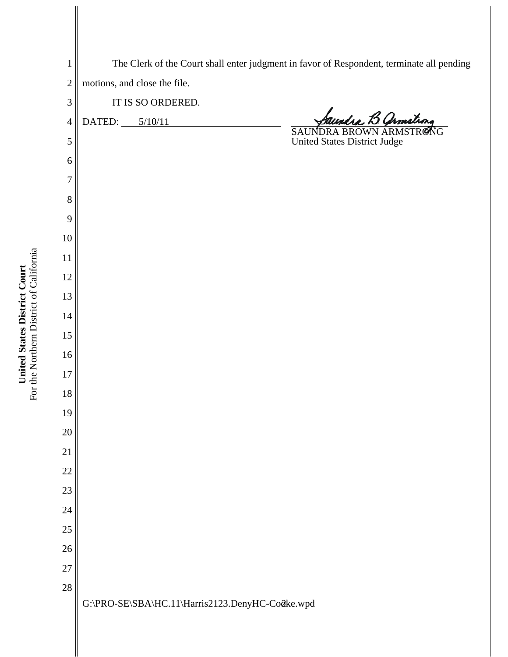| $\mathbf{1}$   | The Clerk of the Court shall enter judgment in favor of Respondent, terminate all pending |
|----------------|-------------------------------------------------------------------------------------------|
| $\overline{c}$ | motions, and close the file.                                                              |
| 3              | IT IS SO ORDERED.                                                                         |
| $\overline{4}$ | SAUNDRA BROWN ARMSTRONG<br>DATED: $5/10/11$                                               |
| 5              | <b>United States District Judge</b>                                                       |
| 6              |                                                                                           |
| $\overline{7}$ |                                                                                           |
| 8              |                                                                                           |
| 9              |                                                                                           |
| 10             |                                                                                           |
| 11             |                                                                                           |
| 12             |                                                                                           |
| 13             |                                                                                           |
| 14             |                                                                                           |
| 15             |                                                                                           |
| $16$           |                                                                                           |
| $17\,$         |                                                                                           |
| 18             |                                                                                           |
| 19             |                                                                                           |
| $20\,$         |                                                                                           |
| $21\,$         |                                                                                           |
| $22\,$         |                                                                                           |
| 23             |                                                                                           |
| 24             |                                                                                           |
| $25\,$         |                                                                                           |
| $26\,$         |                                                                                           |
| 27             |                                                                                           |
| 28             |                                                                                           |
|                | G:\PRO-SE\SBA\HC.11\Harris2123.DenyHC-Co@ke.wpd                                           |
|                |                                                                                           |

**United States District Court** For the Northern District of California

**United States District Court**<br>For the Northern District of California